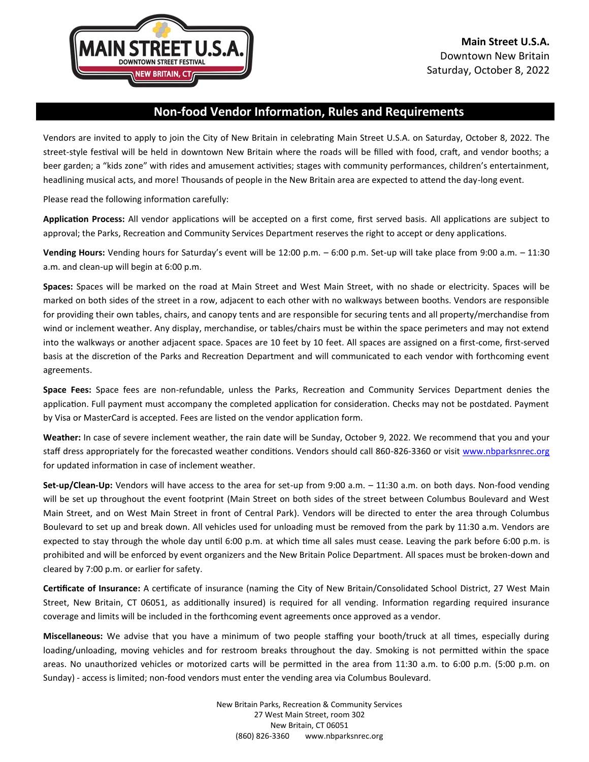

# **Non-food Vendor Information, Rules and Requirements**

Vendors are invited to apply to join the City of New Britain in celebrating Main Street U.S.A. on Saturday, October 8, 2022. The street-style festival will be held in downtown New Britain where the roads will be filled with food, craft, and vendor booths; a beer garden; a "kids zone" with rides and amusement activities; stages with community performances, children's entertainment, headlining musical acts, and more! Thousands of people in the New Britain area are expected to attend the day-long event.

Please read the following information carefully:

**Application Process:** All vendor applications will be accepted on a first come, first served basis. All applications are subject to approval; the Parks, Recreation and Community Services Department reserves the right to accept or deny applications.

**Vending Hours:** Vending hours for Saturday's event will be 12:00 p.m. – 6:00 p.m. Set-up will take place from 9:00 a.m. – 11:30 a.m. and clean-up will begin at 6:00 p.m.

**Spaces:** Spaces will be marked on the road at Main Street and West Main Street, with no shade or electricity. Spaces will be marked on both sides of the street in a row, adjacent to each other with no walkways between booths. Vendors are responsible for providing their own tables, chairs, and canopy tents and are responsible for securing tents and all property/merchandise from wind or inclement weather. Any display, merchandise, or tables/chairs must be within the space perimeters and may not extend into the walkways or another adjacent space. Spaces are 10 feet by 10 feet. All spaces are assigned on a first-come, first-served basis at the discretion of the Parks and Recreation Department and will communicated to each vendor with forthcoming event agreements.

**Space Fees:** Space fees are non-refundable, unless the Parks, Recreation and Community Services Department denies the application. Full payment must accompany the completed application for consideration. Checks may not be postdated. Payment by Visa or MasterCard is accepted. Fees are listed on the vendor application form.

**Weather:** In case of severe inclement weather, the rain date will be Sunday, October 9, 2022. We recommend that you and your staff dress appropriately for the forecasted weather conditions. Vendors should call 860-826-3360 or visit [www.nbparksnrec.org](http://www.nbparksnrec.org/) for updated information in case of inclement weather.

**Set-up/Clean-Up:** Vendors will have access to the area for set-up from 9:00 a.m. – 11:30 a.m. on both days. Non-food vending will be set up throughout the event footprint (Main Street on both sides of the street between Columbus Boulevard and West Main Street, and on West Main Street in front of Central Park). Vendors will be directed to enter the area through Columbus Boulevard to set up and break down. All vehicles used for unloading must be removed from the park by 11:30 a.m. Vendors are expected to stay through the whole day until 6:00 p.m. at which time all sales must cease. Leaving the park before 6:00 p.m. is prohibited and will be enforced by event organizers and the New Britain Police Department. All spaces must be broken-down and cleared by 7:00 p.m. or earlier for safety.

**Certificate of Insurance:** A certificate of insurance (naming the City of New Britain/Consolidated School District, 27 West Main Street, New Britain, CT 06051, as additionally insured) is required for all vending. Information regarding required insurance coverage and limits will be included in the forthcoming event agreements once approved as a vendor.

**Miscellaneous:** We advise that you have a minimum of two people staffing your booth/truck at all times, especially during loading/unloading, moving vehicles and for restroom breaks throughout the day. Smoking is not permitted within the space areas. No unauthorized vehicles or motorized carts will be permitted in the area from 11:30 a.m. to 6:00 p.m. (5:00 p.m. on Sunday) - access is limited; non-food vendors must enter the vending area via Columbus Boulevard.

> New Britain Parks, Recreation & Community Services 27 West Main Street, room 302 New Britain, CT 06051 (860) 826-3360 www.nbparksnrec.org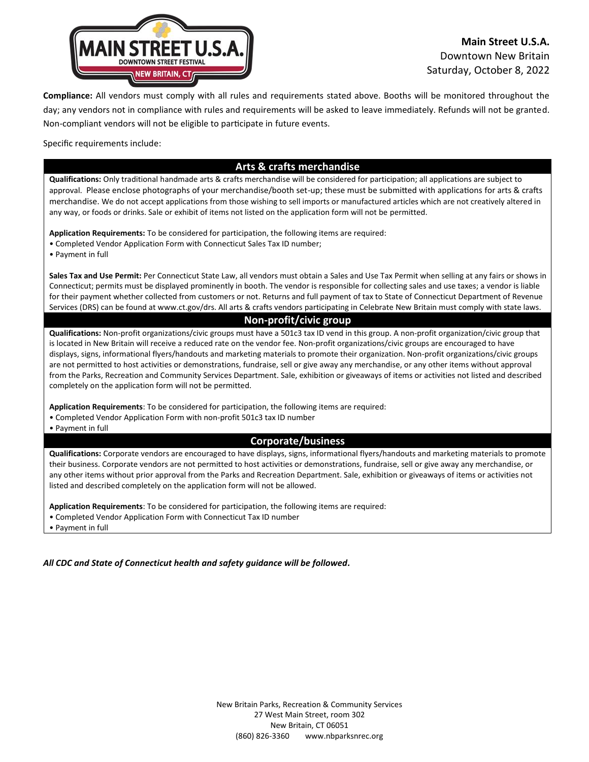

## **Main Street U.S.A.** Downtown New Britain Saturday, October 8, 2022

**Compliance:** All vendors must comply with all rules and requirements stated above. Booths will be monitored throughout the day; any vendors not in compliance with rules and requirements will be asked to leave immediately. Refunds will not be granted. Non-compliant vendors will not be eligible to participate in future events.

Specific requirements include:

#### **Arts & crafts merchandise**

**Qualifications:** Only traditional handmade arts & crafts merchandise will be considered for participation; all applications are subject to approval. Please enclose photographs of your merchandise/booth set-up; these must be submitted with applications for arts & crafts merchandise. We do not accept applications from those wishing to sell imports or manufactured articles which are not creatively altered in any way, or foods or drinks. Sale or exhibit of items not listed on the application form will not be permitted.

**Application Requirements:** To be considered for participation, the following items are required:

- Completed Vendor Application Form with Connecticut Sales Tax ID number;
- Payment in full

**Sales Tax and Use Permit:** Per Connecticut State Law, all vendors must obtain a Sales and Use Tax Permit when selling at any fairs or shows in Connecticut; permits must be displayed prominently in booth. The vendor is responsible for collecting sales and use taxes; a vendor is liable for their payment whether collected from customers or not. Returns and full payment of tax to State of Connecticut Department of Revenue Services (DRS) can be found at www.ct.gov/drs. All arts & crafts vendors participating in Celebrate New Britain must comply with state laws.

## **Non-profit/civic group**

**Qualifications:** Non-profit organizations/civic groups must have a 501c3 tax ID vend in this group. A non-profit organization/civic group that is located in New Britain will receive a reduced rate on the vendor fee. Non-profit organizations/civic groups are encouraged to have displays, signs, informational flyers/handouts and marketing materials to promote their organization. Non-profit organizations/civic groups are not permitted to host activities or demonstrations, fundraise, sell or give away any merchandise, or any other items without approval from the Parks, Recreation and Community Services Department. Sale, exhibition or giveaways of items or activities not listed and described completely on the application form will not be permitted.

**Application Requirements**: To be considered for participation, the following items are required:

- Completed Vendor Application Form with non-profit 501c3 tax ID number
- Payment in full

### **Corporate/business**

**Qualifications:** Corporate vendors are encouraged to have displays, signs, informational flyers/handouts and marketing materials to promote their business. Corporate vendors are not permitted to host activities or demonstrations, fundraise, sell or give away any merchandise, or any other items without prior approval from the Parks and Recreation Department. Sale, exhibition or giveaways of items or activities not listed and described completely on the application form will not be allowed.

**Application Requirements**: To be considered for participation, the following items are required:

• Completed Vendor Application Form with Connecticut Tax ID number

• Payment in full

*All CDC and State of Connecticut health and safety guidance will be followed.*